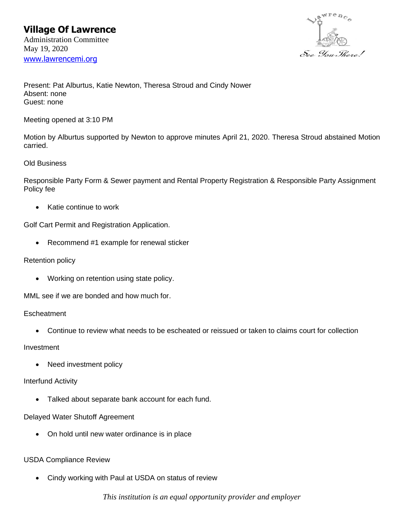

Present: Pat Alburtus, Katie Newton, Theresa Stroud and Cindy Nower Absent: none Guest: none

Meeting opened at 3:10 PM

Motion by Alburtus supported by Newton to approve minutes April 21, 2020. Theresa Stroud abstained Motion carried.

## Old Business

Responsible Party Form & Sewer payment and Rental Property Registration & Responsible Party Assignment Policy fee

• Katie continue to work

Golf Cart Permit and Registration Application.

• Recommend #1 example for renewal sticker

## Retention policy

• Working on retention using state policy.

MML see if we are bonded and how much for.

**Escheatment** 

• Continue to review what needs to be escheated or reissued or taken to claims court for collection

Investment

Need investment policy

## Interfund Activity

• Talked about separate bank account for each fund.

# Delayed Water Shutoff Agreement

• On hold until new water ordinance is in place

# USDA Compliance Review

• Cindy working with Paul at USDA on status of review

*This institution is an equal opportunity provider and employer*